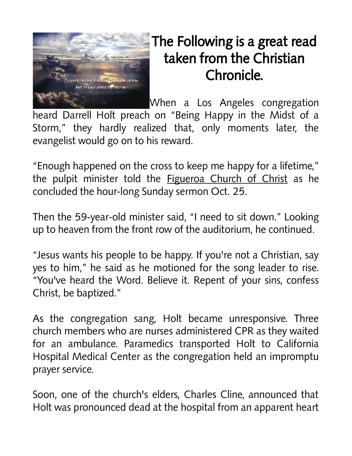

## The Following is a great read taken from the Christian Chronicle.

When a Los Angeles congregation heard Darrell Holt preach on "Being Happy in the Midst of a Storm," they hardly realized that, only moments later, the evangelist would go on to his reward.

"Enough happened on the cross to keep me happy for a lifetime," the pulpit minister told the **Figueroa Church of Christ** as he concluded the hour-long Sunday sermon Oct. 25.

Then the 59-year-old minister said, "I need to sit down." Looking up to heaven from the front row of the auditorium, he continued.

"Jesus wants his people to be happy. If you're not a Christian, say yes to him," he said as he motioned for the song leader to rise. "You've heard the Word. Believe it. Repent of your sins, confess Christ, be baptized."

As the congregation sang, Holt became unresponsive. Three church members who are nurses administered CPR as they waited for an ambulance. Paramedics transported Holt to California Hospital Medical Center as the congregation held an impromptu prayer service.

Soon, one of the church's elders, Charles Cline, announced that Holt was pronounced dead at the hospital from an apparent heart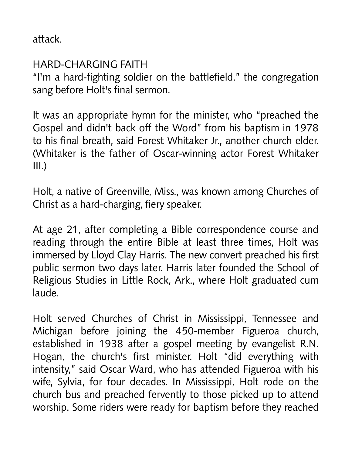attack.

## HARD-CHARGING FAITH

"I'm a hard-fighting soldier on the battlefield," the congregation sang before Holt's final sermon.

It was an appropriate hymn for the minister, who "preached the Gospel and didn't back off the Word" from his baptism in 1978 to his final breath, said Forest Whitaker Jr., another church elder. (Whitaker is the father of Oscar-winning actor Forest Whitaker  $III.$ )

Holt, a native of Greenville, Miss., was known among Churches of Christ as a hard-charging, fiery speaker.

At age 21, after completing a Bible correspondence course and reading through the entire Bible at least three times, Holt was immersed by Lloyd Clay Harris. The new convert preached his first public sermon two days later. Harris later founded the School of Religious Studies in Little Rock, Ark., where Holt graduated cum laude.

Holt served Churches of Christ in Mississippi, Tennessee and Michigan before joining the 450-member Figueroa church, established in 1938 after a gospel meeting by evangelist R.N. Hogan, the church's first minister. Holt "did everything with intensity," said Oscar Ward, who has attended Figueroa with his wife, Sylvia, for four decades. In Mississippi, Holt rode on the church bus and preached fervently to those picked up to attend worship. Some riders were ready for baptism before they reached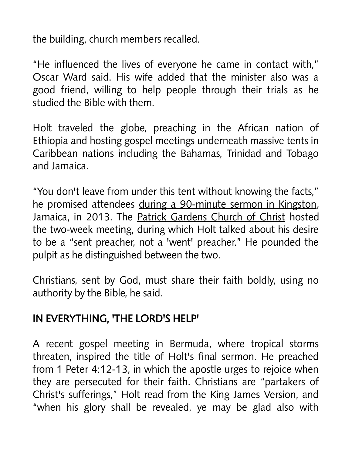the building, church members recalled.

"He influenced the lives of everyone he came in contact with," Oscar Ward said. His wife added that the minister also was a good friend, willing to help people through their trials as he studied the Bible with them.

Holt traveled the globe, preaching in the African nation of Ethiopia and hosting gospel meetings underneath massive tents in Caribbean nations including the Bahamas, Trinidad and Tobago and Jamaica.

"You don't leave from under this tent without knowing the facts," he promised attendees during a 90-minute sermon in Kingston, Jamaica, in 2013. The Patrick Gardens Church of Christ hosted the two-week meeting, during which Holt talked about his desire to be a "sent preacher, not a 'went' preacher." He pounded the pulpit as he distinguished between the two.

Christians, sent by God, must share their faith boldly, using no authority by the Bible, he said.

## IN EVERYTHING, 'THE LORD'S HELP'

A recent gospel meeting in Bermuda, where tropical storms threaten, inspired the title of Holt's final sermon. He preached from 1 Peter 4:12-13, in which the apostle urges to rejoice when they are persecuted for their faith. Christians are "partakers of Christ's sufferings," Holt read from the King James Version, and "when his glory shall be revealed, ye may be glad also with